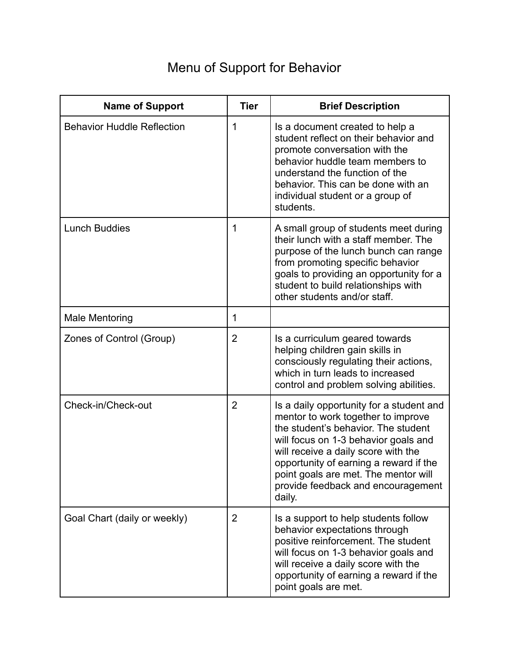## Menu of Support for Behavior

| <b>Name of Support</b>            | <b>Tier</b>    | <b>Brief Description</b>                                                                                                                                                                                                                                                                                                               |
|-----------------------------------|----------------|----------------------------------------------------------------------------------------------------------------------------------------------------------------------------------------------------------------------------------------------------------------------------------------------------------------------------------------|
| <b>Behavior Huddle Reflection</b> | 1              | Is a document created to help a<br>student reflect on their behavior and<br>promote conversation with the<br>behavior huddle team members to<br>understand the function of the<br>behavior. This can be done with an<br>individual student or a group of<br>students.                                                                  |
| <b>Lunch Buddies</b>              | 1              | A small group of students meet during<br>their lunch with a staff member. The<br>purpose of the lunch bunch can range<br>from promoting specific behavior<br>goals to providing an opportunity for a<br>student to build relationships with<br>other students and/or staff.                                                            |
| <b>Male Mentoring</b>             | 1              |                                                                                                                                                                                                                                                                                                                                        |
| Zones of Control (Group)          | $\overline{2}$ | Is a curriculum geared towards<br>helping children gain skills in<br>consciously regulating their actions,<br>which in turn leads to increased<br>control and problem solving abilities.                                                                                                                                               |
| Check-in/Check-out                | $\overline{2}$ | Is a daily opportunity for a student and<br>mentor to work together to improve<br>the student's behavior. The student<br>will focus on 1-3 behavior goals and<br>will receive a daily score with the<br>opportunity of earning a reward if the<br>point goals are met. The mentor will<br>provide feedback and encouragement<br>daily. |
| Goal Chart (daily or weekly)      | $\overline{2}$ | Is a support to help students follow<br>behavior expectations through<br>positive reinforcement. The student<br>will focus on 1-3 behavior goals and<br>will receive a daily score with the<br>opportunity of earning a reward if the<br>point goals are met.                                                                          |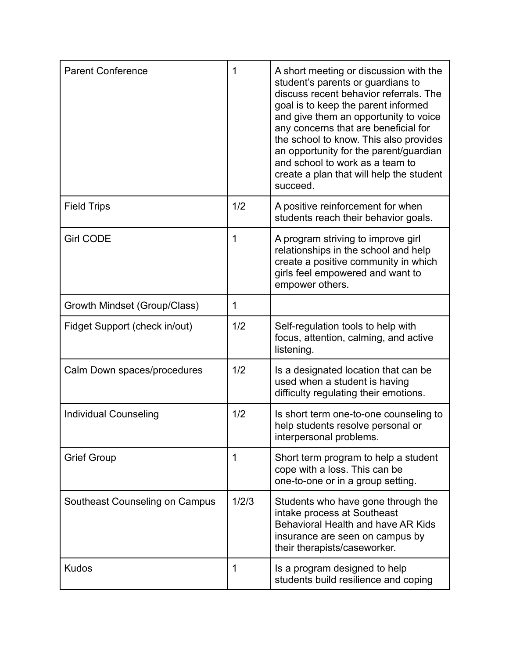| <b>Parent Conference</b>       | 1     | A short meeting or discussion with the<br>student's parents or guardians to<br>discuss recent behavior referrals. The<br>goal is to keep the parent informed<br>and give them an opportunity to voice<br>any concerns that are beneficial for<br>the school to know. This also provides<br>an opportunity for the parent/guardian<br>and school to work as a team to<br>create a plan that will help the student<br>succeed. |
|--------------------------------|-------|------------------------------------------------------------------------------------------------------------------------------------------------------------------------------------------------------------------------------------------------------------------------------------------------------------------------------------------------------------------------------------------------------------------------------|
| <b>Field Trips</b>             | 1/2   | A positive reinforcement for when<br>students reach their behavior goals.                                                                                                                                                                                                                                                                                                                                                    |
| <b>Girl CODE</b>               | 1     | A program striving to improve girl<br>relationships in the school and help<br>create a positive community in which<br>girls feel empowered and want to<br>empower others.                                                                                                                                                                                                                                                    |
| Growth Mindset (Group/Class)   | 1     |                                                                                                                                                                                                                                                                                                                                                                                                                              |
| Fidget Support (check in/out)  | 1/2   | Self-regulation tools to help with<br>focus, attention, calming, and active<br>listening.                                                                                                                                                                                                                                                                                                                                    |
| Calm Down spaces/procedures    | 1/2   | Is a designated location that can be<br>used when a student is having<br>difficulty regulating their emotions.                                                                                                                                                                                                                                                                                                               |
| <b>Individual Counseling</b>   | 1/2   | Is short term one-to-one counseling to<br>help students resolve personal or<br>interpersonal problems.                                                                                                                                                                                                                                                                                                                       |
| <b>Grief Group</b>             | 1     | Short term program to help a student<br>cope with a loss. This can be<br>one-to-one or in a group setting.                                                                                                                                                                                                                                                                                                                   |
| Southeast Counseling on Campus | 1/2/3 | Students who have gone through the<br>intake process at Southeast<br>Behavioral Health and have AR Kids<br>insurance are seen on campus by<br>their therapists/caseworker.                                                                                                                                                                                                                                                   |
| <b>Kudos</b>                   | 1     | Is a program designed to help<br>students build resilience and coping                                                                                                                                                                                                                                                                                                                                                        |